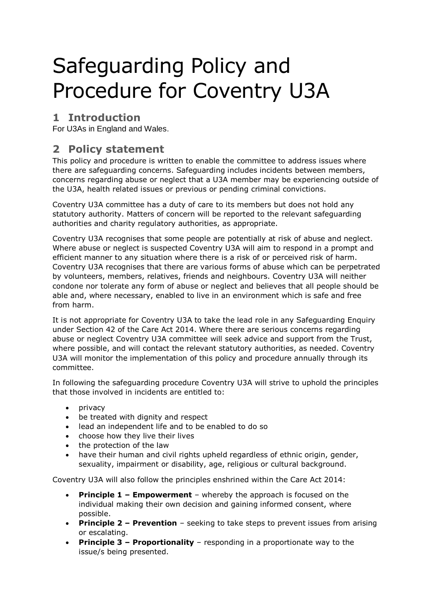# Safeguarding Policy and Procedure for Coventry U3A

## **1 Introduction**

For U3As in England and Wales.

### **2 Policy statement**

This policy and procedure is written to enable the committee to address issues where there are safeguarding concerns. Safeguarding includes incidents between members, concerns regarding abuse or neglect that a U3A member may be experiencing outside of the U3A, health related issues or previous or pending criminal convictions.

Coventry U3A committee has a duty of care to its members but does not hold any statutory authority. Matters of concern will be reported to the relevant safeguarding authorities and charity regulatory authorities, as appropriate.

Coventry U3A recognises that some people are potentially at risk of abuse and neglect. Where abuse or neglect is suspected Coventry U3A will aim to respond in a prompt and efficient manner to any situation where there is a risk of or perceived risk of harm. Coventry U3A recognises that there are various forms of abuse which can be perpetrated by volunteers, members, relatives, friends and neighbours. Coventry U3A will neither condone nor tolerate any form of abuse or neglect and believes that all people should be able and, where necessary, enabled to live in an environment which is safe and free from harm.

It is not appropriate for Coventry U3A to take the lead role in any Safeguarding Enquiry under Section 42 of the Care Act 2014. Where there are serious concerns regarding abuse or neglect Coventry U3A committee will seek advice and support from the Trust, where possible, and will contact the relevant statutory authorities, as needed. Coventry U3A will monitor the implementation of this policy and procedure annually through its committee.

In following the safeguarding procedure Coventry U3A will strive to uphold the principles that those involved in incidents are entitled to:

- $\bullet$  privacy
- be treated with dignity and respect
- lead an independent life and to be enabled to do so
- choose how they live their lives
- the protection of the law
- have their human and civil rights upheld regardless of ethnic origin, gender, sexuality, impairment or disability, age, religious or cultural background.

Coventry U3A will also follow the principles enshrined within the Care Act 2014:

- **Principle 1 – Empowerment** whereby the approach is focused on the individual making their own decision and gaining informed consent, where possible.
- **Principle 2 – Prevention** seeking to take steps to prevent issues from arising or escalating.
- **Principle 3 – Proportionality** responding in a proportionate way to the issue/s being presented.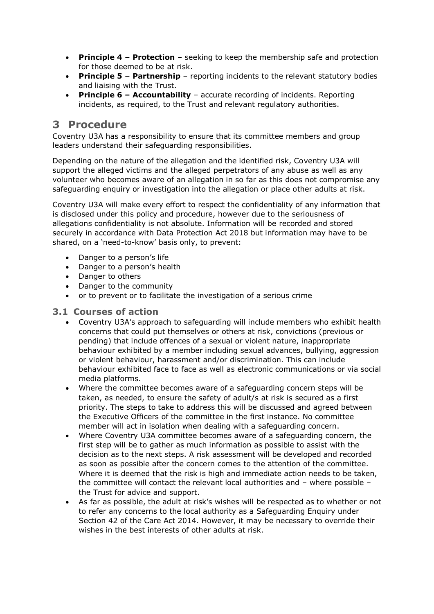- **Principle 4 – Protection** seeking to keep the membership safe and protection for those deemed to be at risk.
- **Principle 5 – Partnership** reporting incidents to the relevant statutory bodies and liaising with the Trust.
- **Principle 6 – Accountability** accurate recording of incidents. Reporting incidents, as required, to the Trust and relevant regulatory authorities.

#### **3 Procedure**

Coventry U3A has a responsibility to ensure that its committee members and group leaders understand their safeguarding responsibilities.

Depending on the nature of the allegation and the identified risk, Coventry U3A will support the alleged victims and the alleged perpetrators of any abuse as well as any volunteer who becomes aware of an allegation in so far as this does not compromise any safeguarding enquiry or investigation into the allegation or place other adults at risk.

Coventry U3A will make every effort to respect the confidentiality of any information that is disclosed under this policy and procedure, however due to the seriousness of allegations confidentiality is not absolute. Information will be recorded and stored securely in accordance with Data Protection Act 2018 but information may have to be shared, on a 'need-to-know' basis only, to prevent:

- Danger to a person's life
- Danger to a person's health
- Danger to others
- Danger to the community
- or to prevent or to facilitate the investigation of a serious crime

#### **3.1 Courses of action**

- Coventry U3A's approach to safeguarding will include members who exhibit health concerns that could put themselves or others at risk, convictions (previous or pending) that include offences of a sexual or violent nature, inappropriate behaviour exhibited by a member including sexual advances, bullying, aggression or violent behaviour, harassment and/or discrimination. This can include behaviour exhibited face to face as well as electronic communications or via social media platforms.
- Where the committee becomes aware of a safeguarding concern steps will be taken, as needed, to ensure the safety of adult/s at risk is secured as a first priority. The steps to take to address this will be discussed and agreed between the Executive Officers of the committee in the first instance. No committee member will act in isolation when dealing with a safeguarding concern.
- Where Coventry U3A committee becomes aware of a safeguarding concern, the first step will be to gather as much information as possible to assist with the decision as to the next steps. A risk assessment will be developed and recorded as soon as possible after the concern comes to the attention of the committee. Where it is deemed that the risk is high and immediate action needs to be taken, the committee will contact the relevant local authorities and – where possible – the Trust for advice and support.
- As far as possible, the adult at risk's wishes will be respected as to whether or not to refer any concerns to the local authority as a Safeguarding Enquiry under Section 42 of the Care Act 2014. However, it may be necessary to override their wishes in the best interests of other adults at risk.